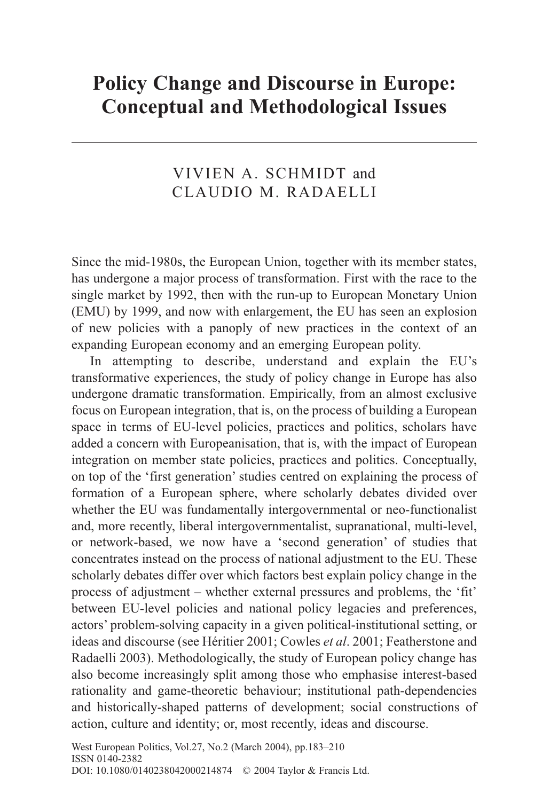# **Policy Change and Discourse in Europe: Conceptual and Methodological Issues**

# VIVIEN A. SCHMIDT and CLAUDIO M. RADAELLI

Since the mid-1980s, the European Union, together with its member states, has undergone a major process of transformation. First with the race to the single market by 1992, then with the run-up to European Monetary Union (EMU) by 1999, and now with enlargement, the EU has seen an explosion of new policies with a panoply of new practices in the context of an expanding European economy and an emerging European polity.

In attempting to describe, understand and explain the EU's transformative experiences, the study of policy change in Europe has also undergone dramatic transformation. Empirically, from an almost exclusive focus on European integration, that is, on the process of building a European space in terms of EU-level policies, practices and politics, scholars have added a concern with Europeanisation, that is, with the impact of European integration on member state policies, practices and politics. Conceptually, on top of the 'first generation' studies centred on explaining the process of formation of a European sphere, where scholarly debates divided over whether the EU was fundamentally intergovernmental or neo-functionalist and, more recently, liberal intergovernmentalist, supranational, multi-level, or network-based, we now have a 'second generation' of studies that concentrates instead on the process of national adjustment to the EU. These scholarly debates differ over which factors best explain policy change in the process of adjustment – whether external pressures and problems, the 'fit' between EU-level policies and national policy legacies and preferences, actors' problem-solving capacity in a given political-institutional setting, or ideas and discourse (see Héritier 2001; Cowles *et al*. 2001; Featherstone and Radaelli 2003). Methodologically, the study of European policy change has also become increasingly split among those who emphasise interest-based rationality and game-theoretic behaviour; institutional path-dependencies and historically-shaped patterns of development; social constructions of action, culture and identity; or, most recently, ideas and discourse.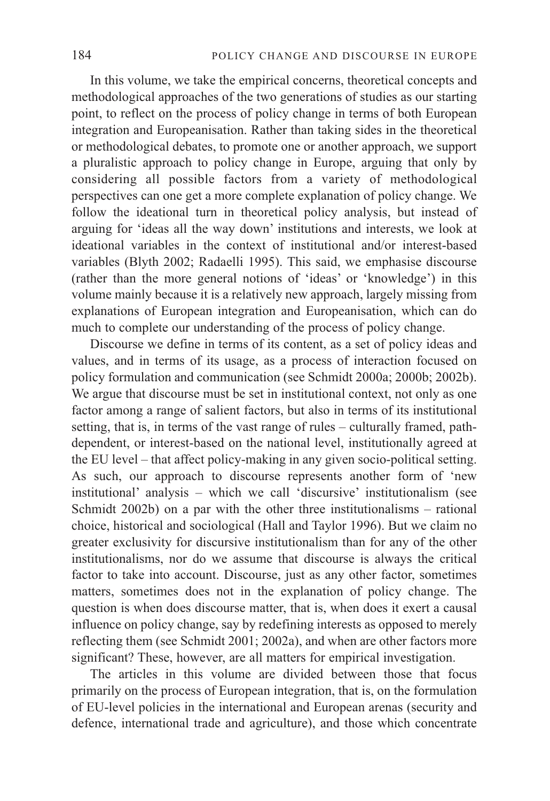In this volume, we take the empirical concerns, theoretical concepts and methodological approaches of the two generations of studies as our starting point, to reflect on the process of policy change in terms of both European integration and Europeanisation. Rather than taking sides in the theoretical or methodological debates, to promote one or another approach, we support a pluralistic approach to policy change in Europe, arguing that only by considering all possible factors from a variety of methodological perspectives can one get a more complete explanation of policy change. We follow the ideational turn in theoretical policy analysis, but instead of arguing for 'ideas all the way down' institutions and interests, we look at ideational variables in the context of institutional and/or interest-based variables (Blyth 2002; Radaelli 1995). This said, we emphasise discourse (rather than the more general notions of 'ideas' or 'knowledge') in this volume mainly because it is a relatively new approach, largely missing from explanations of European integration and Europeanisation, which can do much to complete our understanding of the process of policy change.

Discourse we define in terms of its content, as a set of policy ideas and values, and in terms of its usage, as a process of interaction focused on policy formulation and communication (see Schmidt 2000a; 2000b; 2002b). We argue that discourse must be set in institutional context, not only as one factor among a range of salient factors, but also in terms of its institutional setting, that is, in terms of the vast range of rules – culturally framed, pathdependent, or interest-based on the national level, institutionally agreed at the EU level – that affect policy-making in any given socio-political setting. As such, our approach to discourse represents another form of 'new institutional' analysis – which we call 'discursive' institutionalism (see Schmidt 2002b) on a par with the other three institutionalisms – rational choice, historical and sociological (Hall and Taylor 1996). But we claim no greater exclusivity for discursive institutionalism than for any of the other institutionalisms, nor do we assume that discourse is always the critical factor to take into account. Discourse, just as any other factor, sometimes matters, sometimes does not in the explanation of policy change. The question is when does discourse matter, that is, when does it exert a causal influence on policy change, say by redefining interests as opposed to merely reflecting them (see Schmidt 2001; 2002a), and when are other factors more significant? These, however, are all matters for empirical investigation.

The articles in this volume are divided between those that focus primarily on the process of European integration, that is, on the formulation of EU-level policies in the international and European arenas (security and defence, international trade and agriculture), and those which concentrate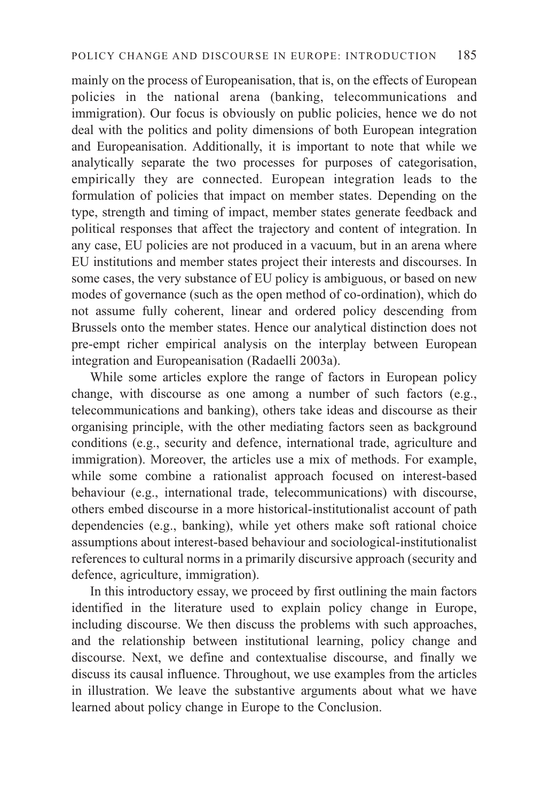mainly on the process of Europeanisation, that is, on the effects of European policies in the national arena (banking, telecommunications and immigration). Our focus is obviously on public policies, hence we do not deal with the politics and polity dimensions of both European integration and Europeanisation. Additionally, it is important to note that while we analytically separate the two processes for purposes of categorisation, empirically they are connected. European integration leads to the formulation of policies that impact on member states. Depending on the type, strength and timing of impact, member states generate feedback and political responses that affect the trajectory and content of integration. In any case, EU policies are not produced in a vacuum, but in an arena where EU institutions and member states project their interests and discourses. In some cases, the very substance of EU policy is ambiguous, or based on new modes of governance (such as the open method of co-ordination), which do not assume fully coherent, linear and ordered policy descending from Brussels onto the member states. Hence our analytical distinction does not pre-empt richer empirical analysis on the interplay between European integration and Europeanisation (Radaelli 2003a).

While some articles explore the range of factors in European policy change, with discourse as one among a number of such factors (e.g., telecommunications and banking), others take ideas and discourse as their organising principle, with the other mediating factors seen as background conditions (e.g., security and defence, international trade, agriculture and immigration). Moreover, the articles use a mix of methods. For example, while some combine a rationalist approach focused on interest-based behaviour (e.g., international trade, telecommunications) with discourse, others embed discourse in a more historical-institutionalist account of path dependencies (e.g., banking), while yet others make soft rational choice assumptions about interest-based behaviour and sociological-institutionalist references to cultural norms in a primarily discursive approach (security and defence, agriculture, immigration).

In this introductory essay, we proceed by first outlining the main factors identified in the literature used to explain policy change in Europe, including discourse. We then discuss the problems with such approaches, and the relationship between institutional learning, policy change and discourse. Next, we define and contextualise discourse, and finally we discuss its causal influence. Throughout, we use examples from the articles in illustration. We leave the substantive arguments about what we have learned about policy change in Europe to the Conclusion.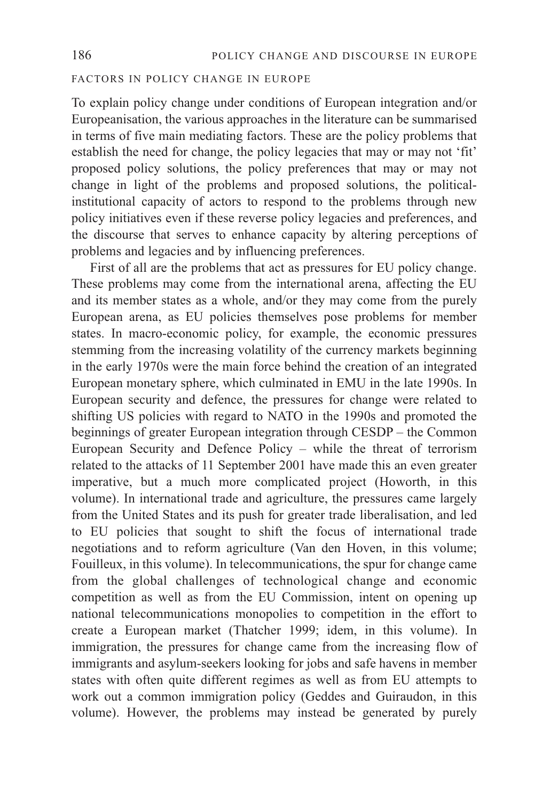# FACTORS IN POLICY CHANGE IN EUROPE

To explain policy change under conditions of European integration and/or Europeanisation, the various approaches in the literature can be summarised in terms of five main mediating factors. These are the policy problems that establish the need for change, the policy legacies that may or may not 'fit' proposed policy solutions, the policy preferences that may or may not change in light of the problems and proposed solutions, the politicalinstitutional capacity of actors to respond to the problems through new policy initiatives even if these reverse policy legacies and preferences, and the discourse that serves to enhance capacity by altering perceptions of problems and legacies and by influencing preferences.

First of all are the problems that act as pressures for EU policy change. These problems may come from the international arena, affecting the EU and its member states as a whole, and/or they may come from the purely European arena, as EU policies themselves pose problems for member states. In macro-economic policy, for example, the economic pressures stemming from the increasing volatility of the currency markets beginning in the early 1970s were the main force behind the creation of an integrated European monetary sphere, which culminated in EMU in the late 1990s. In European security and defence, the pressures for change were related to shifting US policies with regard to NATO in the 1990s and promoted the beginnings of greater European integration through CESDP – the Common European Security and Defence Policy – while the threat of terrorism related to the attacks of 11 September 2001 have made this an even greater imperative, but a much more complicated project (Howorth, in this volume). In international trade and agriculture, the pressures came largely from the United States and its push for greater trade liberalisation, and led to EU policies that sought to shift the focus of international trade negotiations and to reform agriculture (Van den Hoven, in this volume; Fouilleux, in this volume). In telecommunications, the spur for change came from the global challenges of technological change and economic competition as well as from the EU Commission, intent on opening up national telecommunications monopolies to competition in the effort to create a European market (Thatcher 1999; idem, in this volume). In immigration, the pressures for change came from the increasing flow of immigrants and asylum-seekers looking for jobs and safe havens in member states with often quite different regimes as well as from EU attempts to work out a common immigration policy (Geddes and Guiraudon, in this volume). However, the problems may instead be generated by purely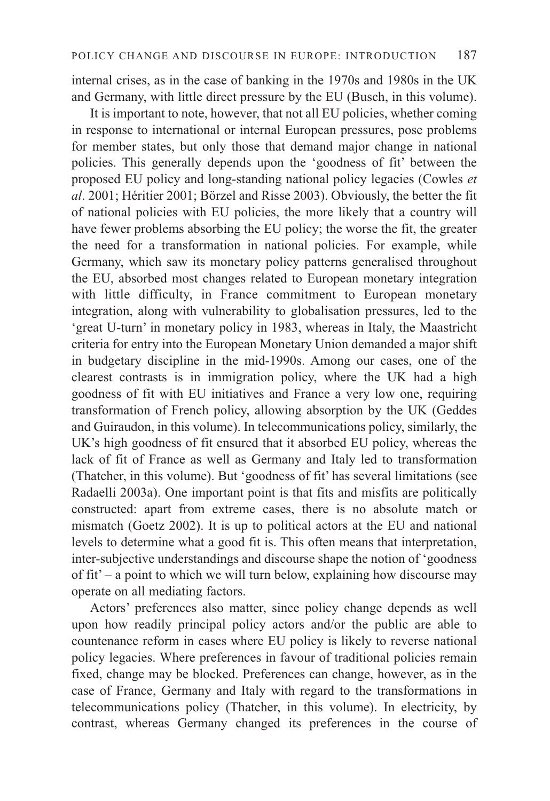internal crises, as in the case of banking in the 1970s and 1980s in the UK and Germany, with little direct pressure by the EU (Busch, in this volume).

It is important to note, however, that not all EU policies, whether coming in response to international or internal European pressures, pose problems for member states, but only those that demand major change in national policies. This generally depends upon the 'goodness of fit' between the proposed EU policy and long-standing national policy legacies (Cowles *et al*. 2001; Héritier 2001; Börzel and Risse 2003). Obviously, the better the fit of national policies with EU policies, the more likely that a country will have fewer problems absorbing the EU policy; the worse the fit, the greater the need for a transformation in national policies. For example, while Germany, which saw its monetary policy patterns generalised throughout the EU, absorbed most changes related to European monetary integration with little difficulty, in France commitment to European monetary integration, along with vulnerability to globalisation pressures, led to the 'great U-turn' in monetary policy in 1983, whereas in Italy, the Maastricht criteria for entry into the European Monetary Union demanded a major shift in budgetary discipline in the mid-1990s. Among our cases, one of the clearest contrasts is in immigration policy, where the UK had a high goodness of fit with EU initiatives and France a very low one, requiring transformation of French policy, allowing absorption by the UK (Geddes and Guiraudon, in this volume). In telecommunications policy, similarly, the UK's high goodness of fit ensured that it absorbed EU policy, whereas the lack of fit of France as well as Germany and Italy led to transformation (Thatcher, in this volume). But 'goodness of fit' has several limitations (see Radaelli 2003a). One important point is that fits and misfits are politically constructed: apart from extreme cases, there is no absolute match or mismatch (Goetz 2002). It is up to political actors at the EU and national levels to determine what a good fit is. This often means that interpretation, inter-subjective understandings and discourse shape the notion of 'goodness of fit' – a point to which we will turn below, explaining how discourse may operate on all mediating factors.

Actors' preferences also matter, since policy change depends as well upon how readily principal policy actors and/or the public are able to countenance reform in cases where EU policy is likely to reverse national policy legacies. Where preferences in favour of traditional policies remain fixed, change may be blocked. Preferences can change, however, as in the case of France, Germany and Italy with regard to the transformations in telecommunications policy (Thatcher, in this volume). In electricity, by contrast, whereas Germany changed its preferences in the course of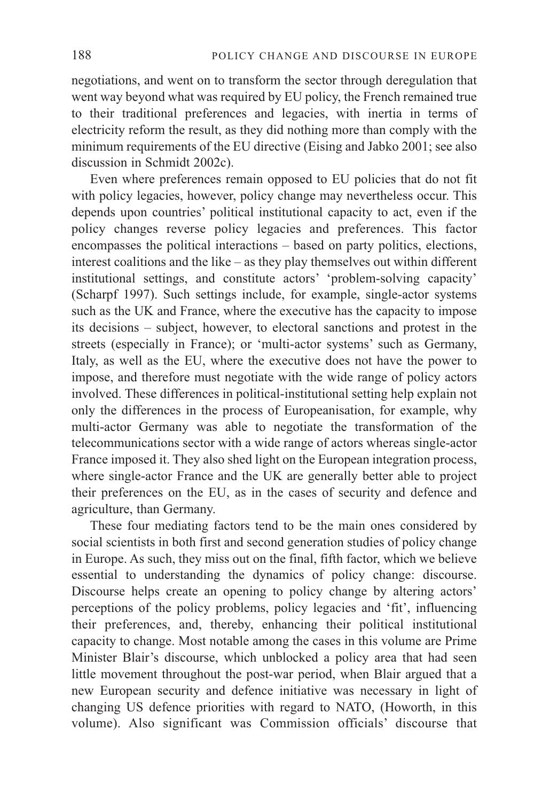negotiations, and went on to transform the sector through deregulation that went way beyond what was required by EU policy, the French remained true to their traditional preferences and legacies, with inertia in terms of electricity reform the result, as they did nothing more than comply with the minimum requirements of the EU directive (Eising and Jabko 2001; see also discussion in Schmidt 2002c).

Even where preferences remain opposed to EU policies that do not fit with policy legacies, however, policy change may nevertheless occur. This depends upon countries' political institutional capacity to act, even if the policy changes reverse policy legacies and preferences. This factor encompasses the political interactions – based on party politics, elections, interest coalitions and the like – as they play themselves out within different institutional settings, and constitute actors' 'problem-solving capacity' (Scharpf 1997). Such settings include, for example, single-actor systems such as the UK and France, where the executive has the capacity to impose its decisions – subject, however, to electoral sanctions and protest in the streets (especially in France); or 'multi-actor systems' such as Germany, Italy, as well as the EU, where the executive does not have the power to impose, and therefore must negotiate with the wide range of policy actors involved. These differences in political-institutional setting help explain not only the differences in the process of Europeanisation, for example, why multi-actor Germany was able to negotiate the transformation of the telecommunications sector with a wide range of actors whereas single-actor France imposed it. They also shed light on the European integration process, where single-actor France and the UK are generally better able to project their preferences on the EU, as in the cases of security and defence and agriculture, than Germany.

These four mediating factors tend to be the main ones considered by social scientists in both first and second generation studies of policy change in Europe. As such, they miss out on the final, fifth factor, which we believe essential to understanding the dynamics of policy change: discourse. Discourse helps create an opening to policy change by altering actors' perceptions of the policy problems, policy legacies and 'fit', influencing their preferences, and, thereby, enhancing their political institutional capacity to change. Most notable among the cases in this volume are Prime Minister Blair's discourse, which unblocked a policy area that had seen little movement throughout the post-war period, when Blair argued that a new European security and defence initiative was necessary in light of changing US defence priorities with regard to NATO, (Howorth, in this volume). Also significant was Commission officials' discourse that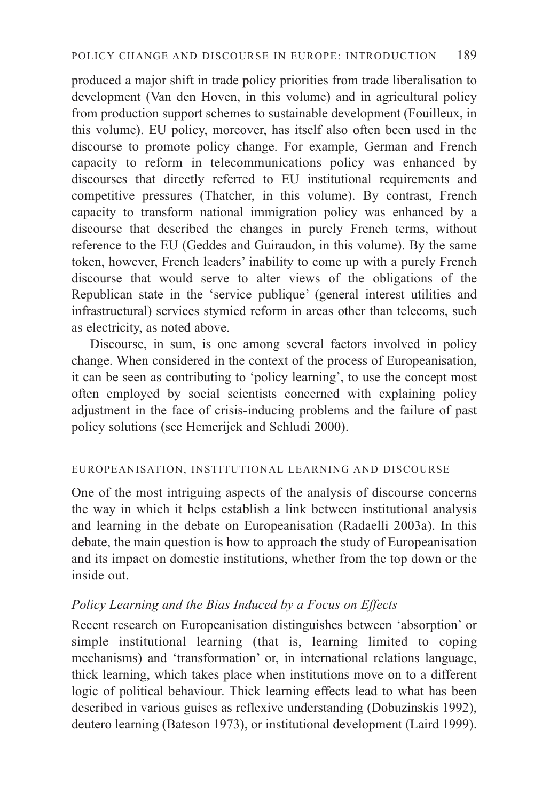produced a major shift in trade policy priorities from trade liberalisation to development (Van den Hoven, in this volume) and in agricultural policy from production support schemes to sustainable development (Fouilleux, in this volume). EU policy, moreover, has itself also often been used in the discourse to promote policy change. For example, German and French capacity to reform in telecommunications policy was enhanced by discourses that directly referred to EU institutional requirements and competitive pressures (Thatcher, in this volume). By contrast, French capacity to transform national immigration policy was enhanced by a discourse that described the changes in purely French terms, without reference to the EU (Geddes and Guiraudon, in this volume). By the same token, however, French leaders' inability to come up with a purely French discourse that would serve to alter views of the obligations of the Republican state in the 'service publique' (general interest utilities and infrastructural) services stymied reform in areas other than telecoms, such as electricity, as noted above.

Discourse, in sum, is one among several factors involved in policy change. When considered in the context of the process of Europeanisation, it can be seen as contributing to 'policy learning', to use the concept most often employed by social scientists concerned with explaining policy adjustment in the face of crisis-inducing problems and the failure of past policy solutions (see Hemerijck and Schludi 2000).

# EUROPEANISATION, INSTITUTIONAL LEARNING AND DISCOURSE

One of the most intriguing aspects of the analysis of discourse concerns the way in which it helps establish a link between institutional analysis and learning in the debate on Europeanisation (Radaelli 2003a). In this debate, the main question is how to approach the study of Europeanisation and its impact on domestic institutions, whether from the top down or the inside out.

# *Policy Learning and the Bias Induced by a Focus on Effects*

Recent research on Europeanisation distinguishes between 'absorption' or simple institutional learning (that is, learning limited to coping mechanisms) and 'transformation' or, in international relations language, thick learning, which takes place when institutions move on to a different logic of political behaviour. Thick learning effects lead to what has been described in various guises as reflexive understanding (Dobuzinskis 1992), deutero learning (Bateson 1973), or institutional development (Laird 1999).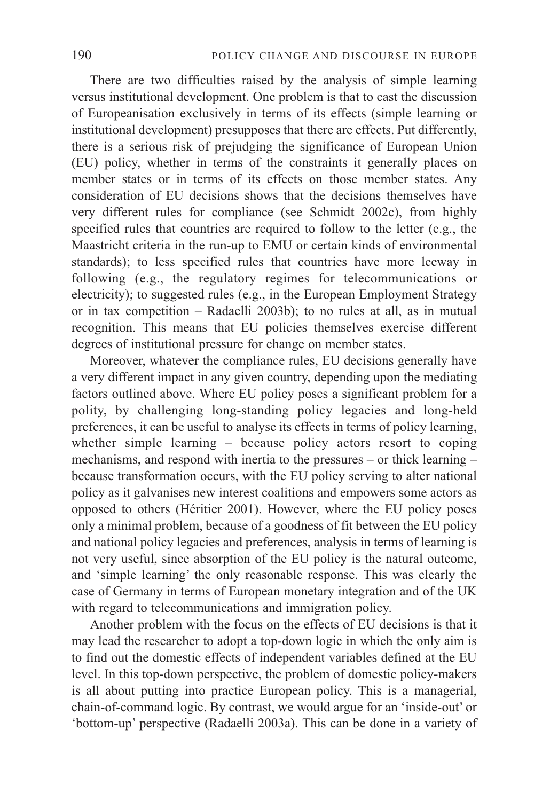There are two difficulties raised by the analysis of simple learning versus institutional development. One problem is that to cast the discussion of Europeanisation exclusively in terms of its effects (simple learning or institutional development) presupposes that there are effects. Put differently, there is a serious risk of prejudging the significance of European Union (EU) policy, whether in terms of the constraints it generally places on member states or in terms of its effects on those member states. Any consideration of EU decisions shows that the decisions themselves have very different rules for compliance (see Schmidt 2002c), from highly specified rules that countries are required to follow to the letter (e.g., the Maastricht criteria in the run-up to EMU or certain kinds of environmental standards); to less specified rules that countries have more leeway in following (e.g., the regulatory regimes for telecommunications or electricity); to suggested rules (e.g., in the European Employment Strategy or in tax competition – Radaelli 2003b); to no rules at all, as in mutual recognition. This means that EU policies themselves exercise different degrees of institutional pressure for change on member states.

Moreover, whatever the compliance rules, EU decisions generally have a very different impact in any given country, depending upon the mediating factors outlined above. Where EU policy poses a significant problem for a polity, by challenging long-standing policy legacies and long-held preferences, it can be useful to analyse its effects in terms of policy learning, whether simple learning – because policy actors resort to coping mechanisms, and respond with inertia to the pressures – or thick learning – because transformation occurs, with the EU policy serving to alter national policy as it galvanises new interest coalitions and empowers some actors as opposed to others (Héritier 2001). However, where the EU policy poses only a minimal problem, because of a goodness of fit between the EU policy and national policy legacies and preferences, analysis in terms of learning is not very useful, since absorption of the EU policy is the natural outcome, and 'simple learning' the only reasonable response. This was clearly the case of Germany in terms of European monetary integration and of the UK with regard to telecommunications and immigration policy.

Another problem with the focus on the effects of EU decisions is that it may lead the researcher to adopt a top-down logic in which the only aim is to find out the domestic effects of independent variables defined at the EU level. In this top-down perspective, the problem of domestic policy-makers is all about putting into practice European policy. This is a managerial, chain-of-command logic. By contrast, we would argue for an 'inside-out' or 'bottom-up' perspective (Radaelli 2003a). This can be done in a variety of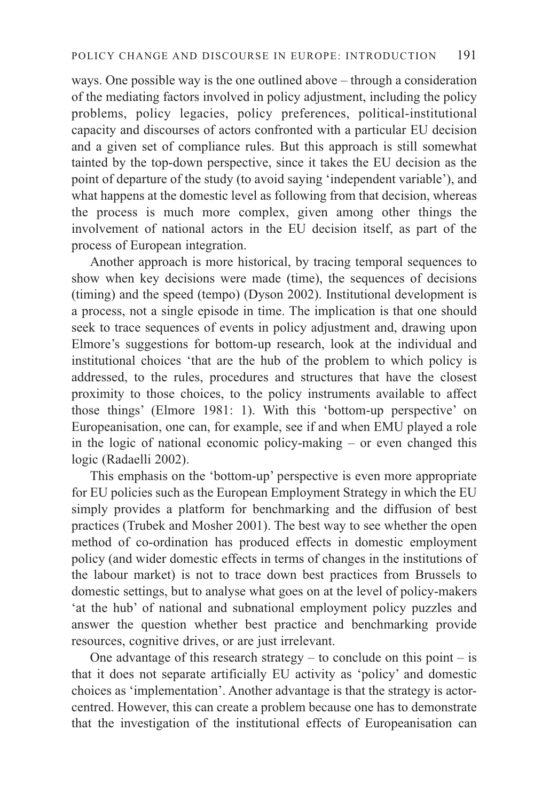ways. One possible way is the one outlined above – through a consideration of the mediating factors involved in policy adjustment, including the policy problems, policy legacies, policy preferences, political-institutional capacity and discourses of actors confronted with a particular EU decision and a given set of compliance rules. But this approach is still somewhat tainted by the top-down perspective, since it takes the EU decision as the point of departure of the study (to avoid saying 'independent variable'), and what happens at the domestic level as following from that decision, whereas the process is much more complex, given among other things the involvement of national actors in the EU decision itself, as part of the process of European integration.

Another approach is more historical, by tracing temporal sequences to show when key decisions were made (time), the sequences of decisions (timing) and the speed (tempo) (Dyson 2002). Institutional development is a process, not a single episode in time. The implication is that one should seek to trace sequences of events in policy adjustment and, drawing upon Elmore's suggestions for bottom-up research, look at the individual and institutional choices 'that are the hub of the problem to which policy is addressed, to the rules, procedures and structures that have the closest proximity to those choices, to the policy instruments available to affect those things' (Elmore 1981: 1). With this 'bottom-up perspective' on Europeanisation, one can, for example, see if and when EMU played a role in the logic of national economic policy-making – or even changed this logic (Radaelli 2002).

This emphasis on the 'bottom-up' perspective is even more appropriate for EU policies such as the European Employment Strategy in which the EU simply provides a platform for benchmarking and the diffusion of best practices (Trubek and Mosher 2001). The best way to see whether the open method of co-ordination has produced effects in domestic employment policy (and wider domestic effects in terms of changes in the institutions of the labour market) is not to trace down best practices from Brussels to domestic settings, but to analyse what goes on at the level of policy-makers 'at the hub' of national and subnational employment policy puzzles and answer the question whether best practice and benchmarking provide resources, cognitive drives, or are just irrelevant.

One advantage of this research strategy – to conclude on this point – is that it does not separate artificially EU activity as 'policy' and domestic choices as 'implementation'. Another advantage is that the strategy is actorcentred. However, this can create a problem because one has to demonstrate that the investigation of the institutional effects of Europeanisation can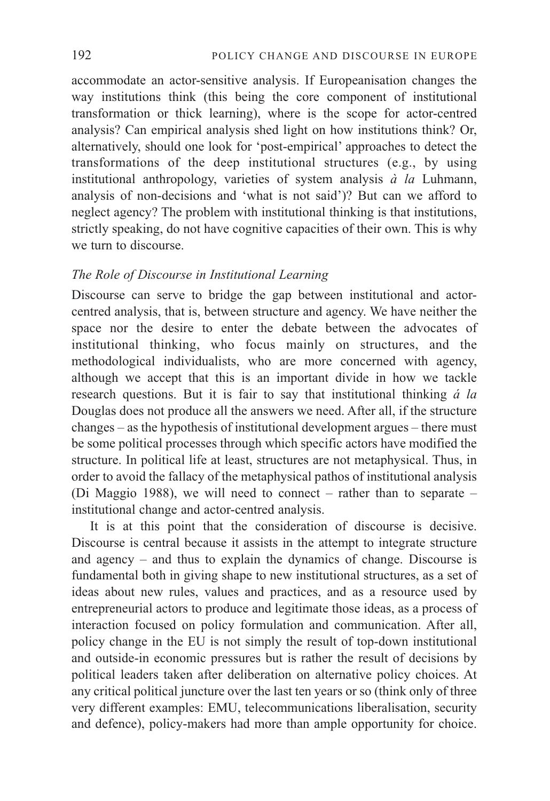accommodate an actor-sensitive analysis. If Europeanisation changes the way institutions think (this being the core component of institutional transformation or thick learning), where is the scope for actor-centred analysis? Can empirical analysis shed light on how institutions think? Or, alternatively, should one look for 'post-empirical' approaches to detect the transformations of the deep institutional structures (e.g., by using institutional anthropology, varieties of system analysis *à la* Luhmann, analysis of non-decisions and 'what is not said')? But can we afford to neglect agency? The problem with institutional thinking is that institutions, strictly speaking, do not have cognitive capacities of their own. This is why we turn to discourse.

# *The Role of Discourse in Institutional Learning*

Discourse can serve to bridge the gap between institutional and actorcentred analysis, that is, between structure and agency. We have neither the space nor the desire to enter the debate between the advocates of institutional thinking, who focus mainly on structures, and the methodological individualists, who are more concerned with agency, although we accept that this is an important divide in how we tackle research questions. But it is fair to say that institutional thinking *á la* Douglas does not produce all the answers we need. After all, if the structure changes – as the hypothesis of institutional development argues – there must be some political processes through which specific actors have modified the structure. In political life at least, structures are not metaphysical. Thus, in order to avoid the fallacy of the metaphysical pathos of institutional analysis (Di Maggio 1988), we will need to connect – rather than to separate – institutional change and actor-centred analysis.

It is at this point that the consideration of discourse is decisive. Discourse is central because it assists in the attempt to integrate structure and agency – and thus to explain the dynamics of change. Discourse is fundamental both in giving shape to new institutional structures, as a set of ideas about new rules, values and practices, and as a resource used by entrepreneurial actors to produce and legitimate those ideas, as a process of interaction focused on policy formulation and communication. After all, policy change in the EU is not simply the result of top-down institutional and outside-in economic pressures but is rather the result of decisions by political leaders taken after deliberation on alternative policy choices. At any critical political juncture over the last ten years or so (think only of three very different examples: EMU, telecommunications liberalisation, security and defence), policy-makers had more than ample opportunity for choice.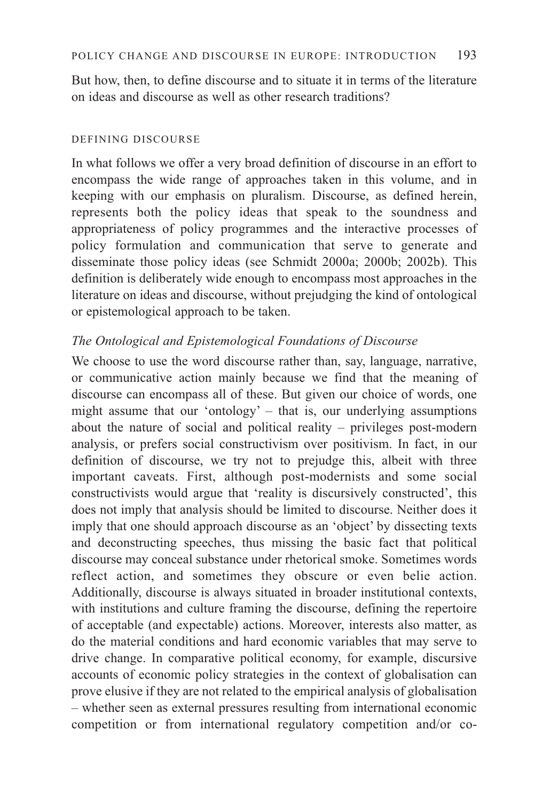But how, then, to define discourse and to situate it in terms of the literature on ideas and discourse as well as other research traditions?

# DEFINING DISCOURSE

In what follows we offer a very broad definition of discourse in an effort to encompass the wide range of approaches taken in this volume, and in keeping with our emphasis on pluralism. Discourse, as defined herein, represents both the policy ideas that speak to the soundness and appropriateness of policy programmes and the interactive processes of policy formulation and communication that serve to generate and disseminate those policy ideas (see Schmidt 2000a; 2000b; 2002b). This definition is deliberately wide enough to encompass most approaches in the literature on ideas and discourse, without prejudging the kind of ontological or epistemological approach to be taken.

# *The Ontological and Epistemological Foundations of Discourse*

We choose to use the word discourse rather than, say, language, narrative, or communicative action mainly because we find that the meaning of discourse can encompass all of these. But given our choice of words, one might assume that our 'ontology' – that is, our underlying assumptions about the nature of social and political reality – privileges post-modern analysis, or prefers social constructivism over positivism. In fact, in our definition of discourse, we try not to prejudge this, albeit with three important caveats. First, although post-modernists and some social constructivists would argue that 'reality is discursively constructed', this does not imply that analysis should be limited to discourse. Neither does it imply that one should approach discourse as an 'object' by dissecting texts and deconstructing speeches, thus missing the basic fact that political discourse may conceal substance under rhetorical smoke. Sometimes words reflect action, and sometimes they obscure or even belie action. Additionally, discourse is always situated in broader institutional contexts, with institutions and culture framing the discourse, defining the repertoire of acceptable (and expectable) actions. Moreover, interests also matter, as do the material conditions and hard economic variables that may serve to drive change. In comparative political economy, for example, discursive accounts of economic policy strategies in the context of globalisation can prove elusive if they are not related to the empirical analysis of globalisation – whether seen as external pressures resulting from international economic competition or from international regulatory competition and/or co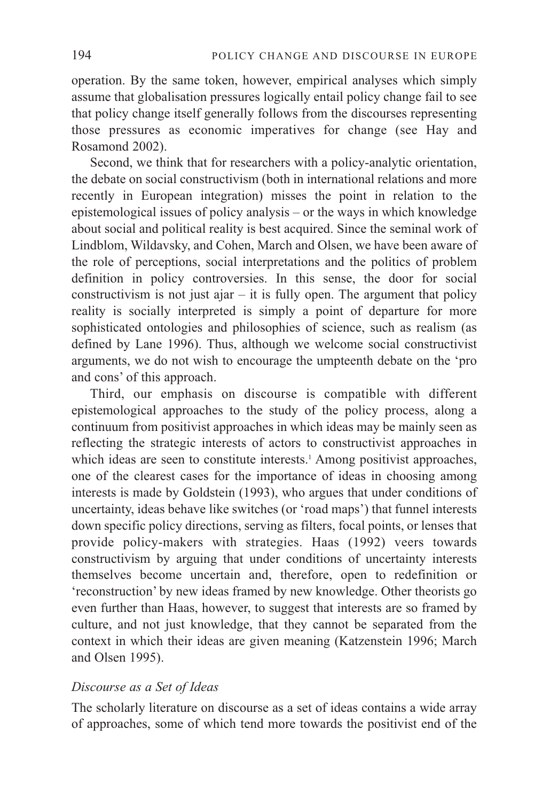operation. By the same token, however, empirical analyses which simply assume that globalisation pressures logically entail policy change fail to see that policy change itself generally follows from the discourses representing those pressures as economic imperatives for change (see Hay and Rosamond 2002).

Second, we think that for researchers with a policy-analytic orientation, the debate on social constructivism (both in international relations and more recently in European integration) misses the point in relation to the epistemological issues of policy analysis – or the ways in which knowledge about social and political reality is best acquired. Since the seminal work of Lindblom, Wildavsky, and Cohen, March and Olsen, we have been aware of the role of perceptions, social interpretations and the politics of problem definition in policy controversies. In this sense, the door for social constructivism is not just ajar – it is fully open. The argument that policy reality is socially interpreted is simply a point of departure for more sophisticated ontologies and philosophies of science, such as realism (as defined by Lane 1996). Thus, although we welcome social constructivist arguments, we do not wish to encourage the umpteenth debate on the 'pro and cons' of this approach.

Third, our emphasis on discourse is compatible with different epistemological approaches to the study of the policy process, along a continuum from positivist approaches in which ideas may be mainly seen as reflecting the strategic interests of actors to constructivist approaches in which ideas are seen to constitute interests.<sup>1</sup> Among positivist approaches, one of the clearest cases for the importance of ideas in choosing among interests is made by Goldstein (1993), who argues that under conditions of uncertainty, ideas behave like switches (or 'road maps') that funnel interests down specific policy directions, serving as filters, focal points, or lenses that provide policy-makers with strategies. Haas (1992) veers towards constructivism by arguing that under conditions of uncertainty interests themselves become uncertain and, therefore, open to redefinition or 'reconstruction' by new ideas framed by new knowledge. Other theorists go even further than Haas, however, to suggest that interests are so framed by culture, and not just knowledge, that they cannot be separated from the context in which their ideas are given meaning (Katzenstein 1996; March and Olsen 1995).

# *Discourse as a Set of Ideas*

The scholarly literature on discourse as a set of ideas contains a wide array of approaches, some of which tend more towards the positivist end of the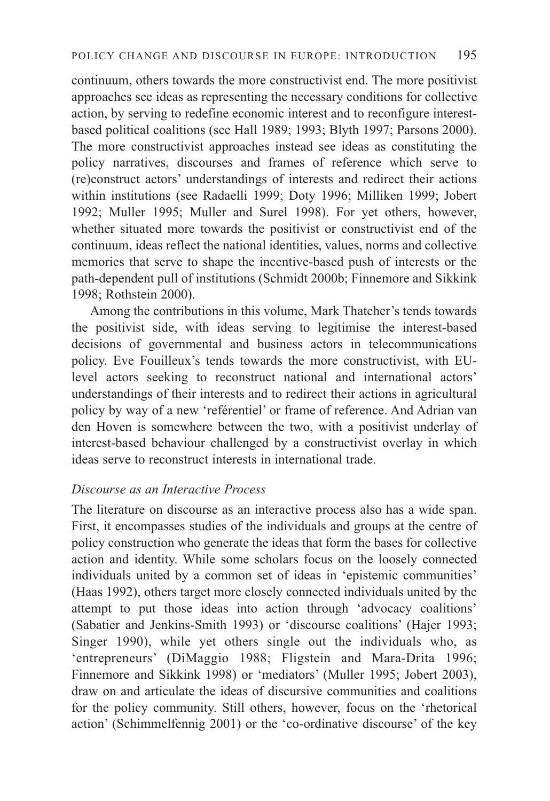continuum, others towards the more constructivist end. The more positivist approaches see ideas as representing the necessary conditions for collective action, by serving to redefine economic interest and to reconfigure interestbased political coalitions (see Hall 1989; 1993; Blyth 1997; Parsons 2000). The more constructivist approaches instead see ideas as constituting the policy narratives, discourses and frames of reference which serve to (re)construct actors' understandings of interests and redirect their actions within institutions (see Radaelli 1999; Doty 1996; Milliken 1999; Jobert 1992; Muller 1995; Muller and Surel 1998). For yet others, however, whether situated more towards the positivist or constructivist end of the continuum, ideas reflect the national identities, values, norms and collective memories that serve to shape the incentive-based push of interests or the path-dependent pull of institutions (Schmidt 2000b; Finnemore and Sikkink 1998; Rothstein 2000).

Among the contributions in this volume, Mark Thatcher's tends towards the positivist side, with ideas serving to legitimise the interest-based decisions of governmental and business actors in telecommunications policy. Eve Fouilleux's tends towards the more constructivist, with EUlevel actors seeking to reconstruct national and international actors' understandings of their interests and to redirect their actions in agricultural policy by way of a new 'reférentiel' or frame of reference. And Adrian van den Hoven is somewhere between the two, with a positivist underlay of interest-based behaviour challenged by a constructivist overlay in which ideas serve to reconstruct interests in international trade.

# *Discourse as an Interactive Process*

The literature on discourse as an interactive process also has a wide span. First, it encompasses studies of the individuals and groups at the centre of policy construction who generate the ideas that form the bases for collective action and identity. While some scholars focus on the loosely connected individuals united by a common set of ideas in 'epistemic communities' (Haas 1992), others target more closely connected individuals united by the attempt to put those ideas into action through 'advocacy coalitions' (Sabatier and Jenkins-Smith 1993) or 'discourse coalitions' (Hajer 1993; Singer 1990), while yet others single out the individuals who, as 'entrepreneurs' (DiMaggio 1988; Fligstein and Mara-Drita 1996; Finnemore and Sikkink 1998) or 'mediators' (Muller 1995; Jobert 2003), draw on and articulate the ideas of discursive communities and coalitions for the policy community. Still others, however, focus on the 'rhetorical action' (Schimmelfennig 2001) or the 'co-ordinative discourse' of the key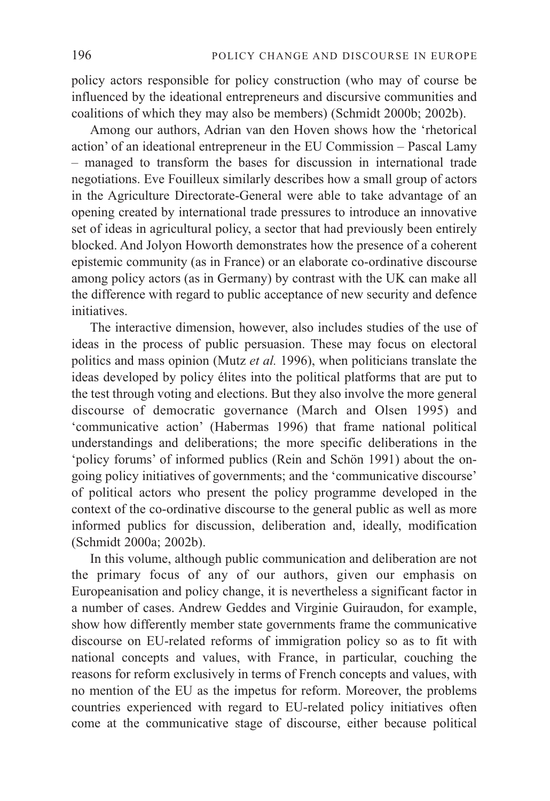policy actors responsible for policy construction (who may of course be influenced by the ideational entrepreneurs and discursive communities and coalitions of which they may also be members) (Schmidt 2000b; 2002b).

Among our authors, Adrian van den Hoven shows how the 'rhetorical action' of an ideational entrepreneur in the EU Commission – Pascal Lamy – managed to transform the bases for discussion in international trade negotiations. Eve Fouilleux similarly describes how a small group of actors in the Agriculture Directorate-General were able to take advantage of an opening created by international trade pressures to introduce an innovative set of ideas in agricultural policy, a sector that had previously been entirely blocked. And Jolyon Howorth demonstrates how the presence of a coherent epistemic community (as in France) or an elaborate co-ordinative discourse among policy actors (as in Germany) by contrast with the UK can make all the difference with regard to public acceptance of new security and defence initiatives.

The interactive dimension, however, also includes studies of the use of ideas in the process of public persuasion. These may focus on electoral politics and mass opinion (Mutz *et al.* 1996), when politicians translate the ideas developed by policy élites into the political platforms that are put to the test through voting and elections. But they also involve the more general discourse of democratic governance (March and Olsen 1995) and 'communicative action' (Habermas 1996) that frame national political understandings and deliberations; the more specific deliberations in the 'policy forums' of informed publics (Rein and Schön 1991) about the ongoing policy initiatives of governments; and the 'communicative discourse' of political actors who present the policy programme developed in the context of the co-ordinative discourse to the general public as well as more informed publics for discussion, deliberation and, ideally, modification (Schmidt 2000a; 2002b).

In this volume, although public communication and deliberation are not the primary focus of any of our authors, given our emphasis on Europeanisation and policy change, it is nevertheless a significant factor in a number of cases. Andrew Geddes and Virginie Guiraudon, for example, show how differently member state governments frame the communicative discourse on EU-related reforms of immigration policy so as to fit with national concepts and values, with France, in particular, couching the reasons for reform exclusively in terms of French concepts and values, with no mention of the EU as the impetus for reform. Moreover, the problems countries experienced with regard to EU-related policy initiatives often come at the communicative stage of discourse, either because political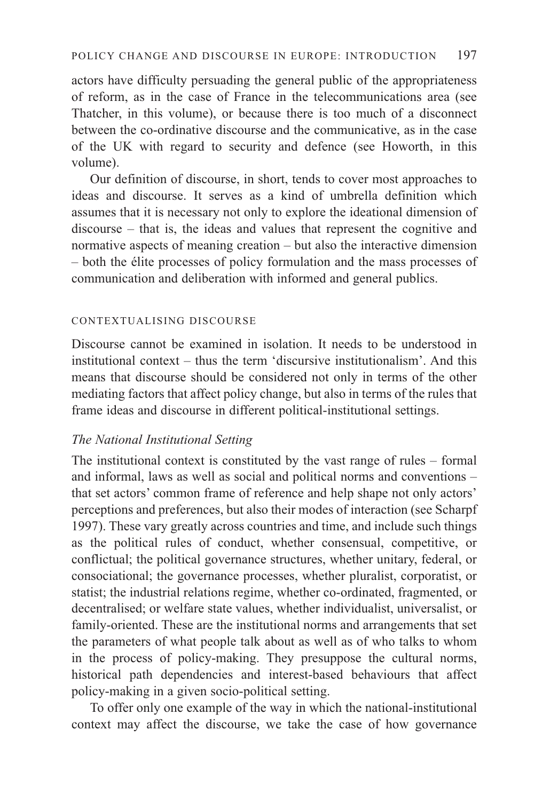actors have difficulty persuading the general public of the appropriateness of reform, as in the case of France in the telecommunications area (see Thatcher, in this volume), or because there is too much of a disconnect between the co-ordinative discourse and the communicative, as in the case of the UK with regard to security and defence (see Howorth, in this volume).

Our definition of discourse, in short, tends to cover most approaches to ideas and discourse. It serves as a kind of umbrella definition which assumes that it is necessary not only to explore the ideational dimension of discourse – that is, the ideas and values that represent the cognitive and normative aspects of meaning creation – but also the interactive dimension – both the élite processes of policy formulation and the mass processes of communication and deliberation with informed and general publics.

#### CONTEXTUALISING DISCOURSE

Discourse cannot be examined in isolation. It needs to be understood in institutional context – thus the term 'discursive institutionalism'. And this means that discourse should be considered not only in terms of the other mediating factors that affect policy change, but also in terms of the rules that frame ideas and discourse in different political-institutional settings.

# *The National Institutional Setting*

The institutional context is constituted by the vast range of rules – formal and informal, laws as well as social and political norms and conventions – that set actors' common frame of reference and help shape not only actors' perceptions and preferences, but also their modes of interaction (see Scharpf 1997). These vary greatly across countries and time, and include such things as the political rules of conduct, whether consensual, competitive, or conflictual; the political governance structures, whether unitary, federal, or consociational; the governance processes, whether pluralist, corporatist, or statist; the industrial relations regime, whether co-ordinated, fragmented, or decentralised; or welfare state values, whether individualist, universalist, or family-oriented. These are the institutional norms and arrangements that set the parameters of what people talk about as well as of who talks to whom in the process of policy-making. They presuppose the cultural norms, historical path dependencies and interest-based behaviours that affect policy-making in a given socio-political setting.

To offer only one example of the way in which the national-institutional context may affect the discourse, we take the case of how governance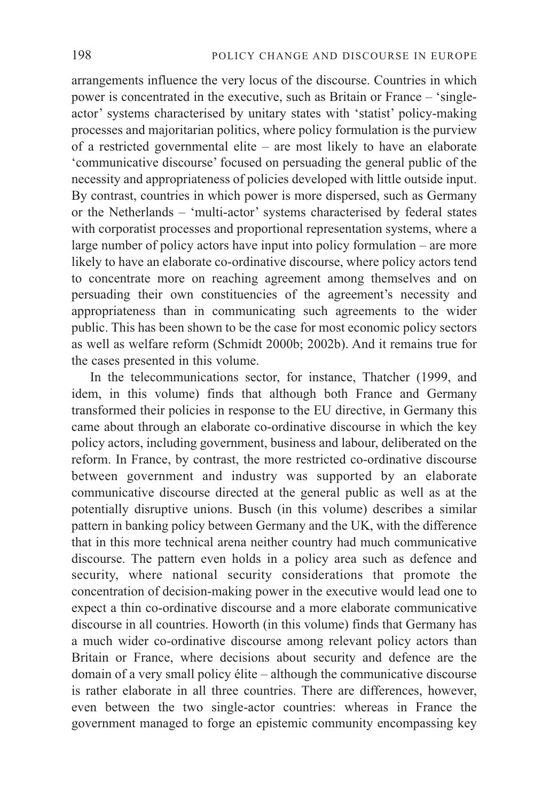arrangements influence the very locus of the discourse. Countries in which power is concentrated in the executive, such as Britain or France – 'singleactor' systems characterised by unitary states with 'statist' policy-making processes and majoritarian politics, where policy formulation is the purview of a restricted governmental elite – are most likely to have an elaborate 'communicative discourse' focused on persuading the general public of the necessity and appropriateness of policies developed with little outside input. By contrast, countries in which power is more dispersed, such as Germany or the Netherlands – 'multi-actor' systems characterised by federal states with corporatist processes and proportional representation systems, where a large number of policy actors have input into policy formulation – are more likely to have an elaborate co-ordinative discourse, where policy actors tend to concentrate more on reaching agreement among themselves and on persuading their own constituencies of the agreement's necessity and appropriateness than in communicating such agreements to the wider public. This has been shown to be the case for most economic policy sectors as well as welfare reform (Schmidt 2000b; 2002b). And it remains true for the cases presented in this volume.

In the telecommunications sector, for instance, Thatcher (1999, and idem, in this volume) finds that although both France and Germany transformed their policies in response to the EU directive, in Germany this came about through an elaborate co-ordinative discourse in which the key policy actors, including government, business and labour, deliberated on the reform. In France, by contrast, the more restricted co-ordinative discourse between government and industry was supported by an elaborate communicative discourse directed at the general public as well as at the potentially disruptive unions. Busch (in this volume) describes a similar pattern in banking policy between Germany and the UK, with the difference that in this more technical arena neither country had much communicative discourse. The pattern even holds in a policy area such as defence and security, where national security considerations that promote the concentration of decision-making power in the executive would lead one to expect a thin co-ordinative discourse and a more elaborate communicative discourse in all countries. Howorth (in this volume) finds that Germany has a much wider co-ordinative discourse among relevant policy actors than Britain or France, where decisions about security and defence are the domain of a very small policy élite – although the communicative discourse is rather elaborate in all three countries. There are differences, however, even between the two single-actor countries: whereas in France the government managed to forge an epistemic community encompassing key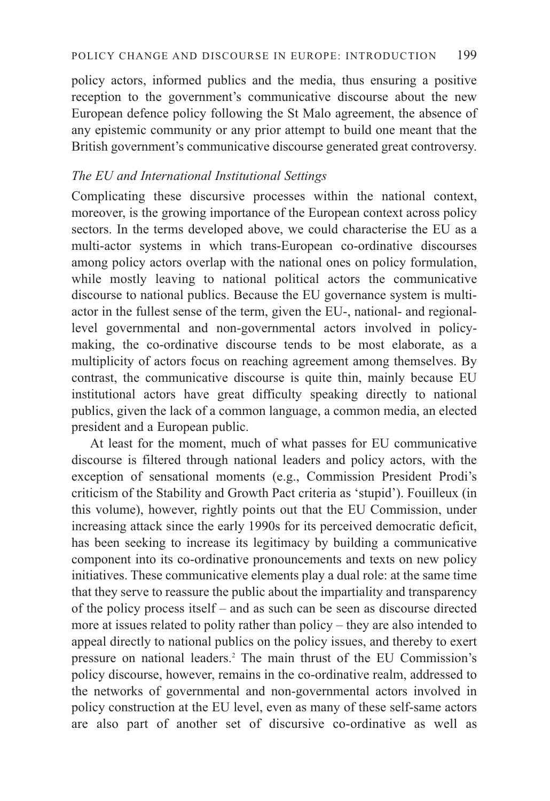policy actors, informed publics and the media, thus ensuring a positive reception to the government's communicative discourse about the new European defence policy following the St Malo agreement, the absence of any epistemic community or any prior attempt to build one meant that the British government's communicative discourse generated great controversy.

# *The EU and International Institutional Settings*

Complicating these discursive processes within the national context, moreover, is the growing importance of the European context across policy sectors. In the terms developed above, we could characterise the EU as a multi-actor systems in which trans-European co-ordinative discourses among policy actors overlap with the national ones on policy formulation, while mostly leaving to national political actors the communicative discourse to national publics. Because the EU governance system is multiactor in the fullest sense of the term, given the EU-, national- and regionallevel governmental and non-governmental actors involved in policymaking, the co-ordinative discourse tends to be most elaborate, as a multiplicity of actors focus on reaching agreement among themselves. By contrast, the communicative discourse is quite thin, mainly because EU institutional actors have great difficulty speaking directly to national publics, given the lack of a common language, a common media, an elected president and a European public.

At least for the moment, much of what passes for EU communicative discourse is filtered through national leaders and policy actors, with the exception of sensational moments (e.g., Commission President Prodi's criticism of the Stability and Growth Pact criteria as 'stupid'). Fouilleux (in this volume), however, rightly points out that the EU Commission, under increasing attack since the early 1990s for its perceived democratic deficit, has been seeking to increase its legitimacy by building a communicative component into its co-ordinative pronouncements and texts on new policy initiatives. These communicative elements play a dual role: at the same time that they serve to reassure the public about the impartiality and transparency of the policy process itself – and as such can be seen as discourse directed more at issues related to polity rather than policy – they are also intended to appeal directly to national publics on the policy issues, and thereby to exert pressure on national leaders.2 The main thrust of the EU Commission's policy discourse, however, remains in the co-ordinative realm, addressed to the networks of governmental and non-governmental actors involved in policy construction at the EU level, even as many of these self-same actors are also part of another set of discursive co-ordinative as well as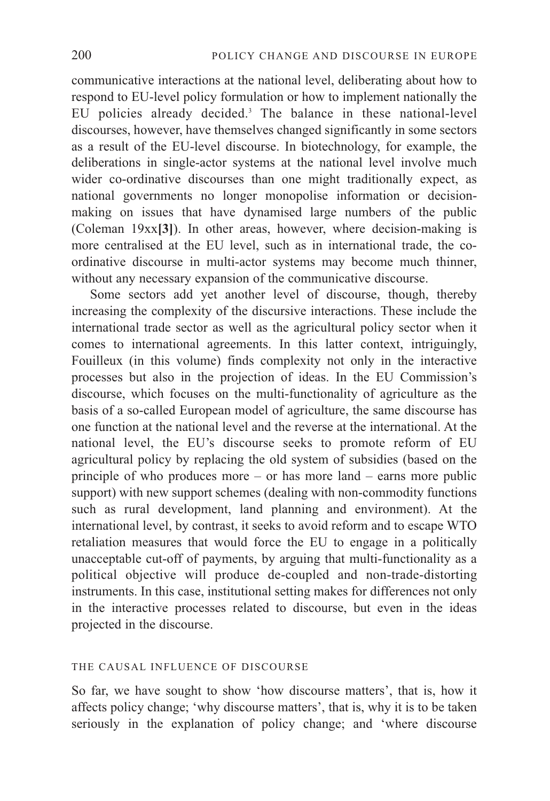communicative interactions at the national level, deliberating about how to respond to EU-level policy formulation or how to implement nationally the EU policies already decided.3 The balance in these national-level discourses, however, have themselves changed significantly in some sectors as a result of the EU-level discourse. In biotechnology, for example, the deliberations in single-actor systems at the national level involve much wider co-ordinative discourses than one might traditionally expect, as national governments no longer monopolise information or decisionmaking on issues that have dynamised large numbers of the public (Coleman 19xx**[3]**). In other areas, however, where decision-making is more centralised at the EU level, such as in international trade, the coordinative discourse in multi-actor systems may become much thinner, without any necessary expansion of the communicative discourse.

Some sectors add yet another level of discourse, though, thereby increasing the complexity of the discursive interactions. These include the international trade sector as well as the agricultural policy sector when it comes to international agreements. In this latter context, intriguingly, Fouilleux (in this volume) finds complexity not only in the interactive processes but also in the projection of ideas. In the EU Commission's discourse, which focuses on the multi-functionality of agriculture as the basis of a so-called European model of agriculture, the same discourse has one function at the national level and the reverse at the international. At the national level, the EU's discourse seeks to promote reform of EU agricultural policy by replacing the old system of subsidies (based on the principle of who produces more – or has more land – earns more public support) with new support schemes (dealing with non-commodity functions such as rural development, land planning and environment). At the international level, by contrast, it seeks to avoid reform and to escape WTO retaliation measures that would force the EU to engage in a politically unacceptable cut-off of payments, by arguing that multi-functionality as a political objective will produce de-coupled and non-trade-distorting instruments. In this case, institutional setting makes for differences not only in the interactive processes related to discourse, but even in the ideas projected in the discourse.

#### THE CAUSAL INFLUENCE OF DISCOURSE

So far, we have sought to show 'how discourse matters', that is, how it affects policy change; 'why discourse matters', that is, why it is to be taken seriously in the explanation of policy change; and 'where discourse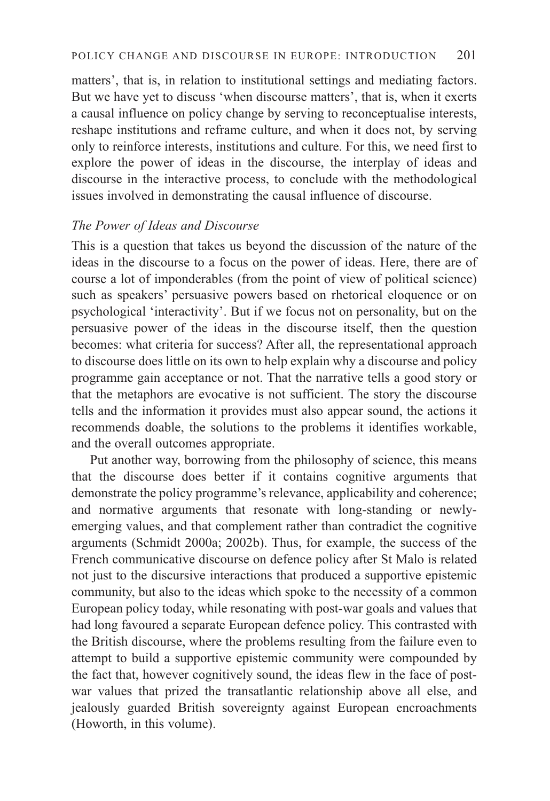matters', that is, in relation to institutional settings and mediating factors. But we have yet to discuss 'when discourse matters', that is, when it exerts a causal influence on policy change by serving to reconceptualise interests, reshape institutions and reframe culture, and when it does not, by serving only to reinforce interests, institutions and culture. For this, we need first to explore the power of ideas in the discourse, the interplay of ideas and discourse in the interactive process, to conclude with the methodological issues involved in demonstrating the causal influence of discourse.

# *The Power of Ideas and Discourse*

This is a question that takes us beyond the discussion of the nature of the ideas in the discourse to a focus on the power of ideas. Here, there are of course a lot of imponderables (from the point of view of political science) such as speakers' persuasive powers based on rhetorical eloquence or on psychological 'interactivity'. But if we focus not on personality, but on the persuasive power of the ideas in the discourse itself, then the question becomes: what criteria for success? After all, the representational approach to discourse does little on its own to help explain why a discourse and policy programme gain acceptance or not. That the narrative tells a good story or that the metaphors are evocative is not sufficient. The story the discourse tells and the information it provides must also appear sound, the actions it recommends doable, the solutions to the problems it identifies workable, and the overall outcomes appropriate.

Put another way, borrowing from the philosophy of science, this means that the discourse does better if it contains cognitive arguments that demonstrate the policy programme's relevance, applicability and coherence; and normative arguments that resonate with long-standing or newlyemerging values, and that complement rather than contradict the cognitive arguments (Schmidt 2000a; 2002b). Thus, for example, the success of the French communicative discourse on defence policy after St Malo is related not just to the discursive interactions that produced a supportive epistemic community, but also to the ideas which spoke to the necessity of a common European policy today, while resonating with post-war goals and values that had long favoured a separate European defence policy. This contrasted with the British discourse, where the problems resulting from the failure even to attempt to build a supportive epistemic community were compounded by the fact that, however cognitively sound, the ideas flew in the face of postwar values that prized the transatlantic relationship above all else, and jealously guarded British sovereignty against European encroachments (Howorth, in this volume).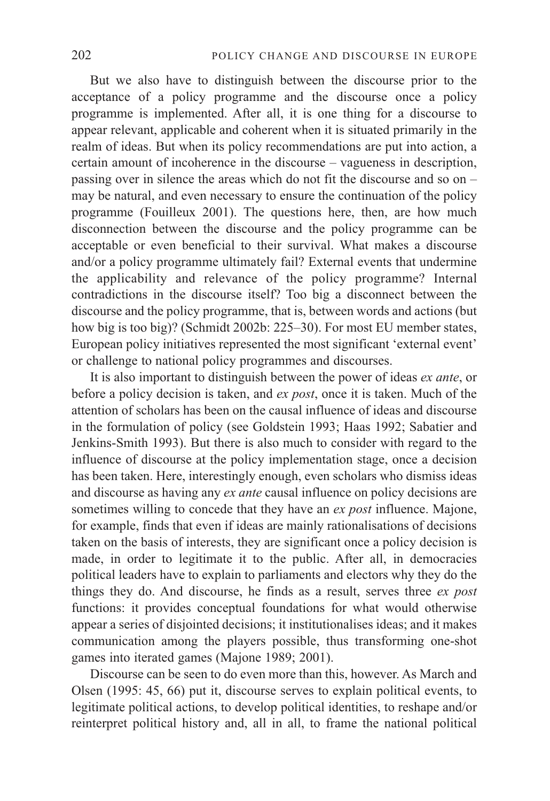But we also have to distinguish between the discourse prior to the acceptance of a policy programme and the discourse once a policy programme is implemented. After all, it is one thing for a discourse to appear relevant, applicable and coherent when it is situated primarily in the realm of ideas. But when its policy recommendations are put into action, a certain amount of incoherence in the discourse – vagueness in description, passing over in silence the areas which do not fit the discourse and so on – may be natural, and even necessary to ensure the continuation of the policy programme (Fouilleux 2001). The questions here, then, are how much disconnection between the discourse and the policy programme can be acceptable or even beneficial to their survival. What makes a discourse and/or a policy programme ultimately fail? External events that undermine the applicability and relevance of the policy programme? Internal contradictions in the discourse itself? Too big a disconnect between the discourse and the policy programme, that is, between words and actions (but how big is too big)? (Schmidt 2002b: 225–30). For most EU member states, European policy initiatives represented the most significant 'external event' or challenge to national policy programmes and discourses.

It is also important to distinguish between the power of ideas *ex ante*, or before a policy decision is taken, and *ex post*, once it is taken. Much of the attention of scholars has been on the causal influence of ideas and discourse in the formulation of policy (see Goldstein 1993; Haas 1992; Sabatier and Jenkins-Smith 1993). But there is also much to consider with regard to the influence of discourse at the policy implementation stage, once a decision has been taken. Here, interestingly enough, even scholars who dismiss ideas and discourse as having any *ex ante* causal influence on policy decisions are sometimes willing to concede that they have an *ex post* influence. Majone, for example, finds that even if ideas are mainly rationalisations of decisions taken on the basis of interests, they are significant once a policy decision is made, in order to legitimate it to the public. After all, in democracies political leaders have to explain to parliaments and electors why they do the things they do. And discourse, he finds as a result, serves three *ex post* functions: it provides conceptual foundations for what would otherwise appear a series of disjointed decisions; it institutionalises ideas; and it makes communication among the players possible, thus transforming one-shot games into iterated games (Majone 1989; 2001).

Discourse can be seen to do even more than this, however. As March and Olsen (1995: 45, 66) put it, discourse serves to explain political events, to legitimate political actions, to develop political identities, to reshape and/or reinterpret political history and, all in all, to frame the national political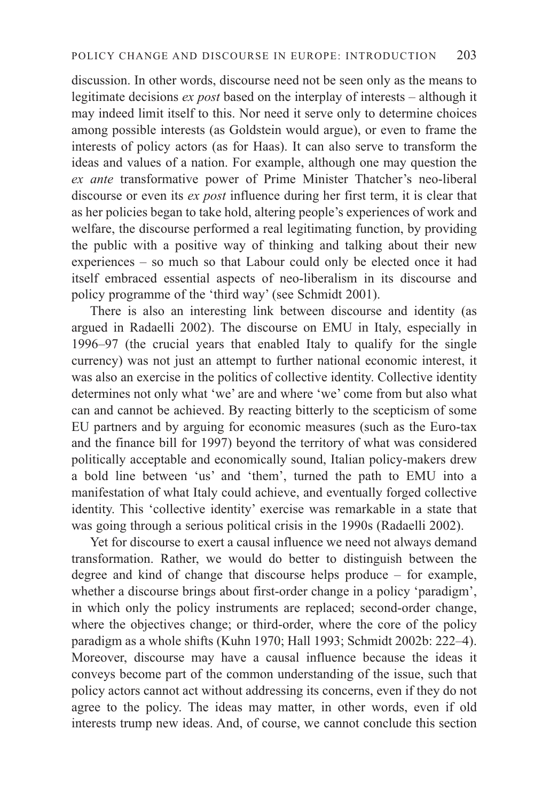discussion. In other words, discourse need not be seen only as the means to legitimate decisions *ex post* based on the interplay of interests – although it may indeed limit itself to this. Nor need it serve only to determine choices among possible interests (as Goldstein would argue), or even to frame the interests of policy actors (as for Haas). It can also serve to transform the ideas and values of a nation. For example, although one may question the *ex ante* transformative power of Prime Minister Thatcher's neo-liberal discourse or even its *ex post* influence during her first term, it is clear that as her policies began to take hold, altering people's experiences of work and welfare, the discourse performed a real legitimating function, by providing the public with a positive way of thinking and talking about their new experiences – so much so that Labour could only be elected once it had itself embraced essential aspects of neo-liberalism in its discourse and policy programme of the 'third way' (see Schmidt 2001).

There is also an interesting link between discourse and identity (as argued in Radaelli 2002). The discourse on EMU in Italy, especially in 1996–97 (the crucial years that enabled Italy to qualify for the single currency) was not just an attempt to further national economic interest, it was also an exercise in the politics of collective identity. Collective identity determines not only what 'we' are and where 'we' come from but also what can and cannot be achieved. By reacting bitterly to the scepticism of some EU partners and by arguing for economic measures (such as the Euro-tax and the finance bill for 1997) beyond the territory of what was considered politically acceptable and economically sound, Italian policy-makers drew a bold line between 'us' and 'them', turned the path to EMU into a manifestation of what Italy could achieve, and eventually forged collective identity. This 'collective identity' exercise was remarkable in a state that was going through a serious political crisis in the 1990s (Radaelli 2002).

Yet for discourse to exert a causal influence we need not always demand transformation. Rather, we would do better to distinguish between the degree and kind of change that discourse helps produce – for example, whether a discourse brings about first-order change in a policy 'paradigm', in which only the policy instruments are replaced; second-order change, where the objectives change; or third-order, where the core of the policy paradigm as a whole shifts (Kuhn 1970; Hall 1993; Schmidt 2002b: 222–4). Moreover, discourse may have a causal influence because the ideas it conveys become part of the common understanding of the issue, such that policy actors cannot act without addressing its concerns, even if they do not agree to the policy. The ideas may matter, in other words, even if old interests trump new ideas. And, of course, we cannot conclude this section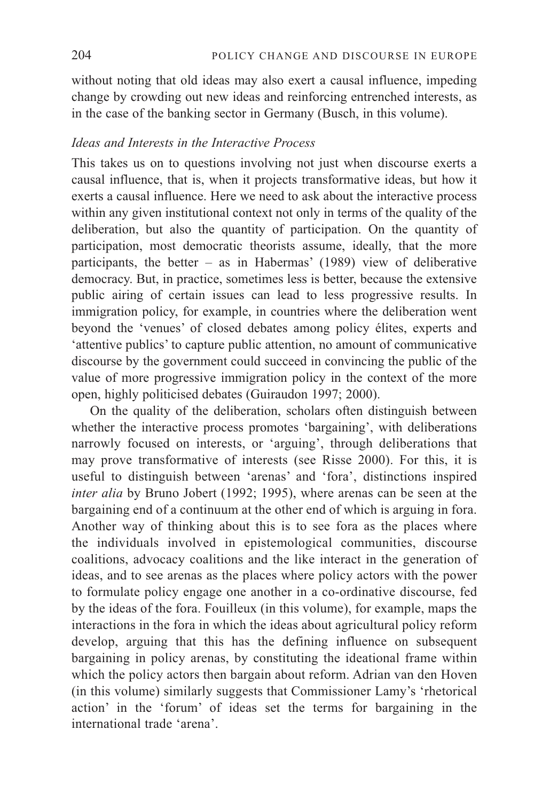without noting that old ideas may also exert a causal influence, impeding change by crowding out new ideas and reinforcing entrenched interests, as in the case of the banking sector in Germany (Busch, in this volume).

## *Ideas and Interests in the Interactive Process*

This takes us on to questions involving not just when discourse exerts a causal influence, that is, when it projects transformative ideas, but how it exerts a causal influence. Here we need to ask about the interactive process within any given institutional context not only in terms of the quality of the deliberation, but also the quantity of participation. On the quantity of participation, most democratic theorists assume, ideally, that the more participants, the better – as in Habermas' (1989) view of deliberative democracy. But, in practice, sometimes less is better, because the extensive public airing of certain issues can lead to less progressive results. In immigration policy, for example, in countries where the deliberation went beyond the 'venues' of closed debates among policy élites, experts and 'attentive publics' to capture public attention, no amount of communicative discourse by the government could succeed in convincing the public of the value of more progressive immigration policy in the context of the more open, highly politicised debates (Guiraudon 1997; 2000).

On the quality of the deliberation, scholars often distinguish between whether the interactive process promotes 'bargaining', with deliberations narrowly focused on interests, or 'arguing', through deliberations that may prove transformative of interests (see Risse 2000). For this, it is useful to distinguish between 'arenas' and 'fora', distinctions inspired *inter alia* by Bruno Jobert (1992; 1995), where arenas can be seen at the bargaining end of a continuum at the other end of which is arguing in fora. Another way of thinking about this is to see fora as the places where the individuals involved in epistemological communities, discourse coalitions, advocacy coalitions and the like interact in the generation of ideas, and to see arenas as the places where policy actors with the power to formulate policy engage one another in a co-ordinative discourse, fed by the ideas of the fora. Fouilleux (in this volume), for example, maps the interactions in the fora in which the ideas about agricultural policy reform develop, arguing that this has the defining influence on subsequent bargaining in policy arenas, by constituting the ideational frame within which the policy actors then bargain about reform. Adrian van den Hoven (in this volume) similarly suggests that Commissioner Lamy's 'rhetorical action' in the 'forum' of ideas set the terms for bargaining in the international trade 'arena'.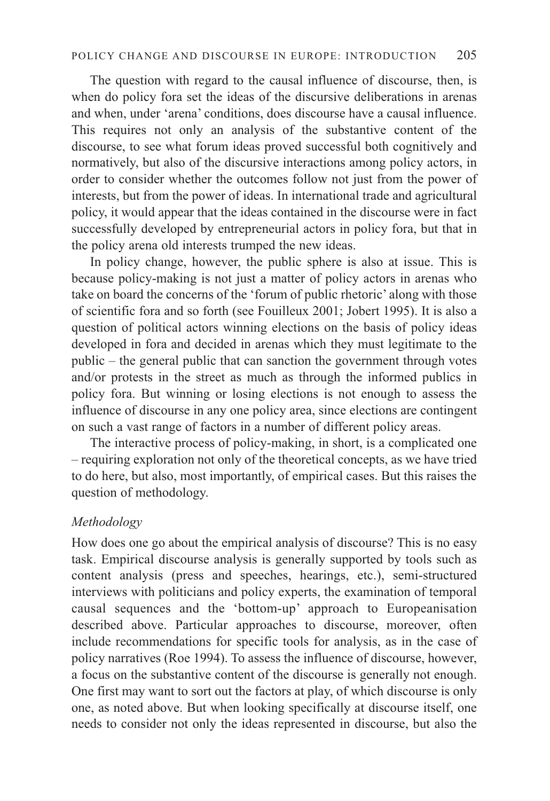The question with regard to the causal influence of discourse, then, is when do policy fora set the ideas of the discursive deliberations in arenas and when, under 'arena' conditions, does discourse have a causal influence. This requires not only an analysis of the substantive content of the discourse, to see what forum ideas proved successful both cognitively and normatively, but also of the discursive interactions among policy actors, in order to consider whether the outcomes follow not just from the power of interests, but from the power of ideas. In international trade and agricultural policy, it would appear that the ideas contained in the discourse were in fact successfully developed by entrepreneurial actors in policy fora, but that in the policy arena old interests trumped the new ideas.

In policy change, however, the public sphere is also at issue. This is because policy-making is not just a matter of policy actors in arenas who take on board the concerns of the 'forum of public rhetoric' along with those of scientific fora and so forth (see Fouilleux 2001; Jobert 1995). It is also a question of political actors winning elections on the basis of policy ideas developed in fora and decided in arenas which they must legitimate to the public – the general public that can sanction the government through votes and/or protests in the street as much as through the informed publics in policy fora. But winning or losing elections is not enough to assess the influence of discourse in any one policy area, since elections are contingent on such a vast range of factors in a number of different policy areas.

The interactive process of policy-making, in short, is a complicated one – requiring exploration not only of the theoretical concepts, as we have tried to do here, but also, most importantly, of empirical cases. But this raises the question of methodology.

# *Methodology*

How does one go about the empirical analysis of discourse? This is no easy task. Empirical discourse analysis is generally supported by tools such as content analysis (press and speeches, hearings, etc.), semi-structured interviews with politicians and policy experts, the examination of temporal causal sequences and the 'bottom-up' approach to Europeanisation described above. Particular approaches to discourse, moreover, often include recommendations for specific tools for analysis, as in the case of policy narratives (Roe 1994). To assess the influence of discourse, however, a focus on the substantive content of the discourse is generally not enough. One first may want to sort out the factors at play, of which discourse is only one, as noted above. But when looking specifically at discourse itself, one needs to consider not only the ideas represented in discourse, but also the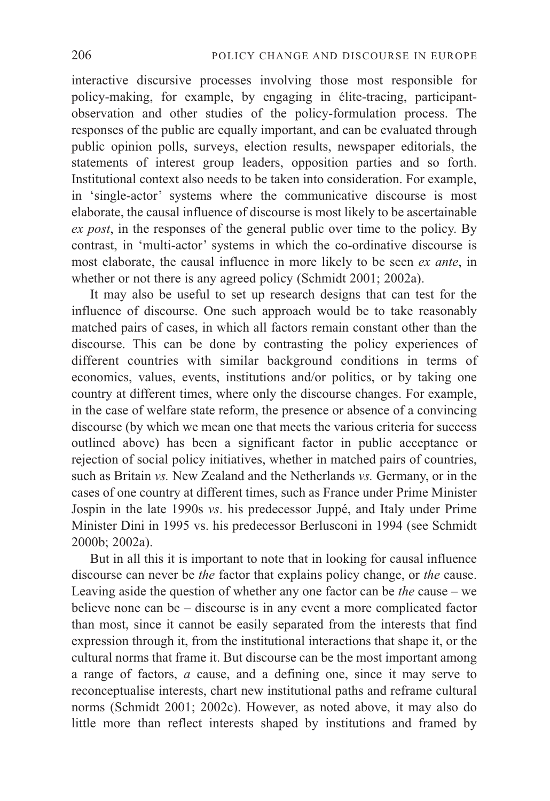interactive discursive processes involving those most responsible for policy-making, for example, by engaging in élite-tracing, participantobservation and other studies of the policy-formulation process. The responses of the public are equally important, and can be evaluated through public opinion polls, surveys, election results, newspaper editorials, the statements of interest group leaders, opposition parties and so forth. Institutional context also needs to be taken into consideration. For example, in 'single-actor' systems where the communicative discourse is most elaborate, the causal influence of discourse is most likely to be ascertainable *ex post*, in the responses of the general public over time to the policy. By contrast, in 'multi-actor' systems in which the co-ordinative discourse is most elaborate, the causal influence in more likely to be seen *ex ante*, in whether or not there is any agreed policy (Schmidt 2001; 2002a).

It may also be useful to set up research designs that can test for the influence of discourse. One such approach would be to take reasonably matched pairs of cases, in which all factors remain constant other than the discourse. This can be done by contrasting the policy experiences of different countries with similar background conditions in terms of economics, values, events, institutions and/or politics, or by taking one country at different times, where only the discourse changes. For example, in the case of welfare state reform, the presence or absence of a convincing discourse (by which we mean one that meets the various criteria for success outlined above) has been a significant factor in public acceptance or rejection of social policy initiatives, whether in matched pairs of countries, such as Britain *vs.* New Zealand and the Netherlands *vs.* Germany, or in the cases of one country at different times, such as France under Prime Minister Jospin in the late 1990s *vs*. his predecessor Juppé, and Italy under Prime Minister Dini in 1995 vs. his predecessor Berlusconi in 1994 (see Schmidt 2000b; 2002a).

But in all this it is important to note that in looking for causal influence discourse can never be *the* factor that explains policy change, or *the* cause. Leaving aside the question of whether any one factor can be *the* cause – we believe none can be – discourse is in any event a more complicated factor than most, since it cannot be easily separated from the interests that find expression through it, from the institutional interactions that shape it, or the cultural norms that frame it. But discourse can be the most important among a range of factors, *a* cause, and a defining one, since it may serve to reconceptualise interests, chart new institutional paths and reframe cultural norms (Schmidt 2001; 2002c). However, as noted above, it may also do little more than reflect interests shaped by institutions and framed by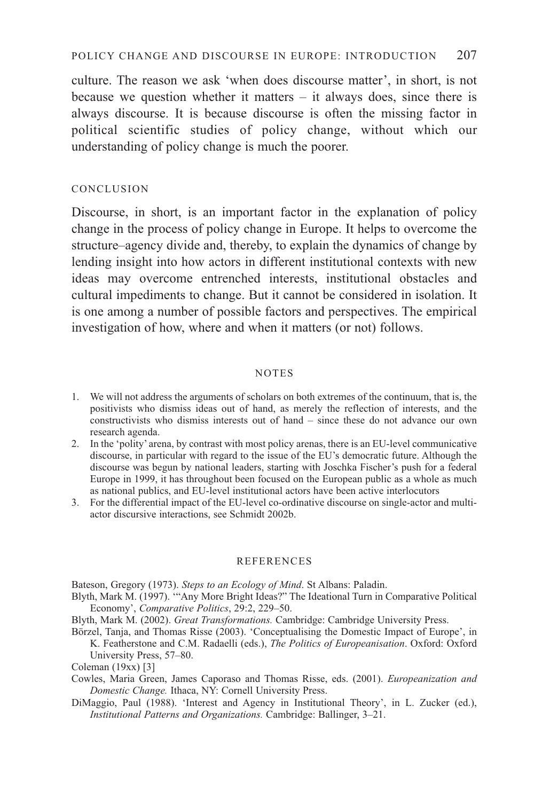culture. The reason we ask 'when does discourse matter', in short, is not because we question whether it matters – it always does, since there is always discourse. It is because discourse is often the missing factor in political scientific studies of policy change, without which our understanding of policy change is much the poorer.

### CONCLUSION

Discourse, in short, is an important factor in the explanation of policy change in the process of policy change in Europe. It helps to overcome the structure–agency divide and, thereby, to explain the dynamics of change by lending insight into how actors in different institutional contexts with new ideas may overcome entrenched interests, institutional obstacles and cultural impediments to change. But it cannot be considered in isolation. It is one among a number of possible factors and perspectives. The empirical investigation of how, where and when it matters (or not) follows.

#### NOTES

- 1. We will not address the arguments of scholars on both extremes of the continuum, that is, the positivists who dismiss ideas out of hand, as merely the reflection of interests, and the constructivists who dismiss interests out of hand – since these do not advance our own research agenda.
- 2. In the 'polity' arena, by contrast with most policy arenas, there is an EU-level communicative discourse, in particular with regard to the issue of the EU's democratic future. Although the discourse was begun by national leaders, starting with Joschka Fischer's push for a federal Europe in 1999, it has throughout been focused on the European public as a whole as much as national publics, and EU-level institutional actors have been active interlocutors
- 3. For the differential impact of the EU-level co-ordinative discourse on single-actor and multiactor discursive interactions, see Schmidt 2002b.

#### **REFERENCES**

Bateson, Gregory (1973). *Steps to an Ecology of Mind*. St Albans: Paladin.

- Blyth, Mark M. (1997). '"Any More Bright Ideas?" The Ideational Turn in Comparative Political Economy', *Comparative Politics*, 29:2, 229–50.
- Blyth, Mark M. (2002). *Great Transformations.* Cambridge: Cambridge University Press.
- Börzel, Tanja, and Thomas Risse (2003). 'Conceptualising the Domestic Impact of Europe', in K. Featherstone and C.M. Radaelli (eds.), *The Politics of Europeanisation*. Oxford: Oxford University Press, 57–80.
- Coleman (19xx) [3]
- Cowles, Maria Green, James Caporaso and Thomas Risse, eds. (2001). *Europeanization and Domestic Change.* Ithaca, NY: Cornell University Press.
- DiMaggio, Paul (1988). 'Interest and Agency in Institutional Theory', in L. Zucker (ed.), *Institutional Patterns and Organizations.* Cambridge: Ballinger, 3–21.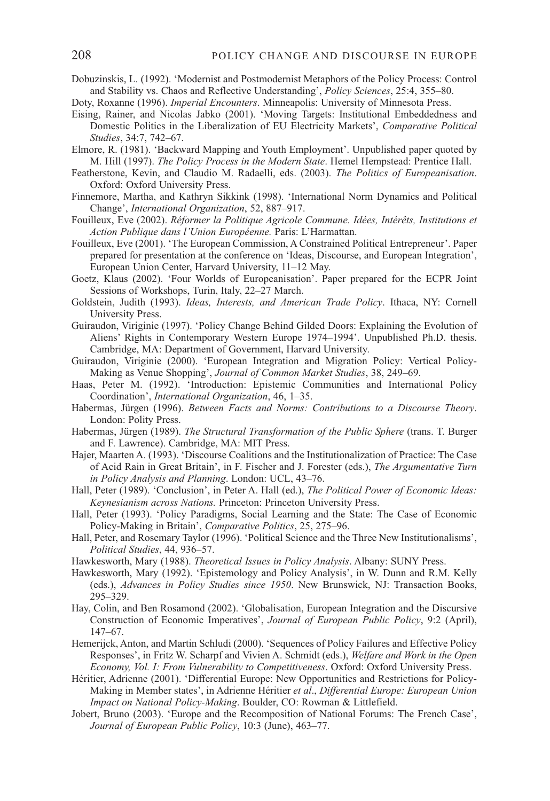- Dobuzinskis, L. (1992). 'Modernist and Postmodernist Metaphors of the Policy Process: Control and Stability vs. Chaos and Reflective Understanding', *Policy Sciences*, 25:4, 355–80.
- Doty, Roxanne (1996). *Imperial Encounters*. Minneapolis: University of Minnesota Press.
- Eising, Rainer, and Nicolas Jabko (2001). 'Moving Targets: Institutional Embeddedness and Domestic Politics in the Liberalization of EU Electricity Markets', *Comparative Political Studies*, 34:7, 742–67.
- Elmore, R. (1981). 'Backward Mapping and Youth Employment'. Unpublished paper quoted by M. Hill (1997). *The Policy Process in the Modern State*. Hemel Hempstead: Prentice Hall.
- Featherstone, Kevin, and Claudio M. Radaelli, eds. (2003). *The Politics of Europeanisation*. Oxford: Oxford University Press.
- Finnemore, Martha, and Kathryn Sikkink (1998). 'International Norm Dynamics and Political Change', *International Organization*, 52, 887–917.
- Fouilleux, Eve (2002). *Réformer la Politique Agricole Commune. Idées, Intérêts, Institutions et Action Publique dans l'Union Européenne.* Paris: L'Harmattan.
- Fouilleux, Eve (2001). 'The European Commission, A Constrained Political Entrepreneur'. Paper prepared for presentation at the conference on 'Ideas, Discourse, and European Integration', European Union Center, Harvard University, 11–12 May.
- Goetz, Klaus (2002). 'Four Worlds of Europeanisation'. Paper prepared for the ECPR Joint Sessions of Workshops, Turin, Italy, 22–27 March.
- Goldstein, Judith (1993). *Ideas, Interests, and American Trade Policy*. Ithaca, NY: Cornell University Press.
- Guiraudon, Viriginie (1997). 'Policy Change Behind Gilded Doors: Explaining the Evolution of Aliens' Rights in Contemporary Western Europe 1974–1994'. Unpublished Ph.D. thesis. Cambridge, MA: Department of Government, Harvard University.
- Guiraudon, Viriginie (2000). 'European Integration and Migration Policy: Vertical Policy-Making as Venue Shopping', *Journal of Common Market Studies*, 38, 249–69.
- Haas, Peter M. (1992). 'Introduction: Epistemic Communities and International Policy Coordination', *International Organization*, 46, 1–35.
- Habermas, Jürgen (1996). *Between Facts and Norms: Contributions to a Discourse Theory*. London: Polity Press.
- Habermas, Jürgen (1989). *The Structural Transformation of the Public Sphere* (trans. T. Burger and F. Lawrence). Cambridge, MA: MIT Press.
- Hajer, Maarten A. (1993). 'Discourse Coalitions and the Institutionalization of Practice: The Case of Acid Rain in Great Britain', in F. Fischer and J. Forester (eds.), *The Argumentative Turn in Policy Analysis and Planning*. London: UCL, 43–76.
- Hall, Peter (1989). 'Conclusion', in Peter A. Hall (ed.), *The Political Power of Economic Ideas: Keynesianism across Nations.* Princeton: Princeton University Press.
- Hall, Peter (1993). 'Policy Paradigms, Social Learning and the State: The Case of Economic Policy-Making in Britain', *Comparative Politics*, 25, 275–96.
- Hall, Peter, and Rosemary Taylor (1996). 'Political Science and the Three New Institutionalisms', *Political Studies*, 44, 936–57.
- Hawkesworth, Mary (1988). *Theoretical Issues in Policy Analysis*. Albany: SUNY Press.
- Hawkesworth, Mary (1992). 'Epistemology and Policy Analysis', in W. Dunn and R.M. Kelly (eds.), *Advances in Policy Studies since 1950*. New Brunswick, NJ: Transaction Books, 295–329.
- Hay, Colin, and Ben Rosamond (2002). 'Globalisation, European Integration and the Discursive Construction of Economic Imperatives', *Journal of European Public Policy*, 9:2 (April), 147–67.
- Hemerijck, Anton, and Martin Schludi (2000). 'Sequences of Policy Failures and Effective Policy Responses', in Fritz W. Scharpf and Vivien A. Schmidt (eds.), *Welfare and Work in the Open Economy, Vol. I: From Vulnerability to Competitiveness*. Oxford: Oxford University Press.
- Héritier, Adrienne (2001). 'Differential Europe: New Opportunities and Restrictions for Policy-Making in Member states', in Adrienne Héritier *et al*., *Differential Europe: European Union Impact on National Policy-Making*. Boulder, CO: Rowman & Littlefield.
- Jobert, Bruno (2003). 'Europe and the Recomposition of National Forums: The French Case', *Journal of European Public Policy*, 10:3 (June), 463–77.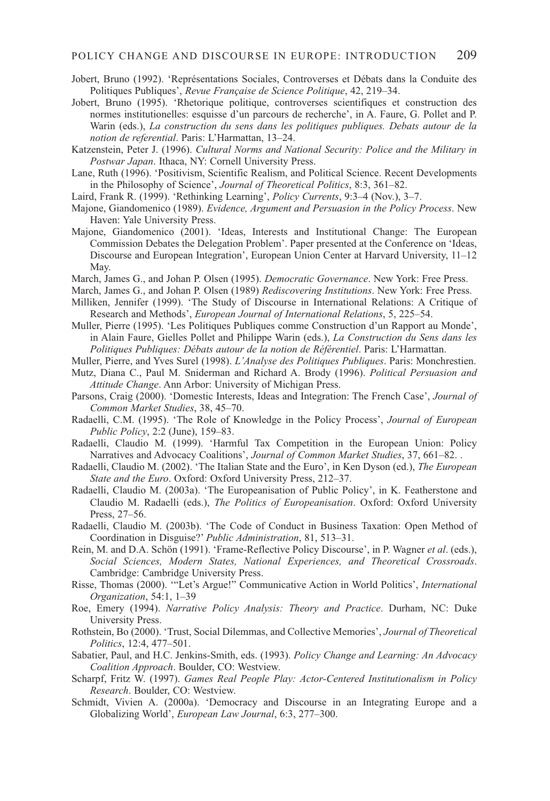- Jobert, Bruno (1992). 'Représentations Sociales, Controverses et Débats dans la Conduite des Politiques Publiques', *Revue Française de Science Politique*, 42, 219–34.
- Jobert, Bruno (1995). 'Rhetorique politique, controverses scientifiques et construction des normes institutionelles: esquisse d'un parcours de recherche', in A. Faure, G. Pollet and P. Warin (eds.), *La construction du sens dans les politiques publiques. Debats autour de la notion de referential*. Paris: L'Harmattan, 13–24.
- Katzenstein, Peter J. (1996). *Cultural Norms and National Security: Police and the Military in Postwar Japan*. Ithaca, NY: Cornell University Press.
- Lane, Ruth (1996). 'Positivism, Scientific Realism, and Political Science. Recent Developments in the Philosophy of Science', *Journal of Theoretical Politics*, 8:3, 361–82.
- Laird, Frank R. (1999). 'Rethinking Learning', *Policy Currents*, 9:3–4 (Nov.), 3–7.
- Majone, Giandomenico (1989). *Evidence, Argument and Persuasion in the Policy Process*. New Haven: Yale University Press.
- Majone, Giandomenico (2001). 'Ideas, Interests and Institutional Change: The European Commission Debates the Delegation Problem'. Paper presented at the Conference on 'Ideas, Discourse and European Integration', European Union Center at Harvard University, 11–12 May.
- March, James G., and Johan P. Olsen (1995). *Democratic Governance*. New York: Free Press.
- March, James G., and Johan P. Olsen (1989) *Rediscovering Institutions*. New York: Free Press.
- Milliken, Jennifer (1999). 'The Study of Discourse in International Relations: A Critique of Research and Methods', *European Journal of International Relations*, 5, 225–54.
- Muller, Pierre (1995). 'Les Politiques Publiques comme Construction d'un Rapport au Monde', in Alain Faure, Gielles Pollet and Philippe Warin (eds.), *La Construction du Sens dans les Politiques Publiques: Débats autour de la notion de Référentiel*. Paris: L'Harmattan.
- Muller, Pierre, and Yves Surel (1998). *L'Analyse des Politiques Publiques*. Paris: Monchrestien. Mutz, Diana C., Paul M. Sniderman and Richard A. Brody (1996). *Political Persuasion and*
- *Attitude Change*. Ann Arbor: University of Michigan Press.
- Parsons, Craig (2000). 'Domestic Interests, Ideas and Integration: The French Case', *Journal of Common Market Studies*, 38, 45–70.
- Radaelli, C.M. (1995). 'The Role of Knowledge in the Policy Process', *Journal of European Public Policy*, 2:2 (June), 159–83.
- Radaelli, Claudio M. (1999). 'Harmful Tax Competition in the European Union: Policy Narratives and Advocacy Coalitions', *Journal of Common Market Studies*, 37, 661–82. .
- Radaelli, Claudio M. (2002). 'The Italian State and the Euro', in Ken Dyson (ed.), *The European State and the Euro*. Oxford: Oxford University Press, 212–37.
- Radaelli, Claudio M. (2003a). 'The Europeanisation of Public Policy', in K. Featherstone and Claudio M. Radaelli (eds.), *The Politics of Europeanisation*. Oxford: Oxford University Press, 27–56.
- Radaelli, Claudio M. (2003b). 'The Code of Conduct in Business Taxation: Open Method of Coordination in Disguise?' *Public Administration*, 81, 513–31.
- Rein, M. and D.A. Schön (1991). 'Frame-Reflective Policy Discourse', in P. Wagner *et al*. (eds.), *Social Sciences, Modern States, National Experiences, and Theoretical Crossroads*. Cambridge: Cambridge University Press.
- Risse, Thomas (2000). '"Let's Argue!" Communicative Action in World Politics', *International Organization*, 54:1, 1–39
- Roe, Emery (1994). *Narrative Policy Analysis: Theory and Practice*. Durham, NC: Duke University Press.
- Rothstein, Bo (2000). 'Trust, Social Dilemmas, and Collective Memories', *Journal of Theoretical Politics*, 12:4, 477–501.
- Sabatier, Paul, and H.C. Jenkins-Smith, eds. (1993). *Policy Change and Learning: An Advocacy Coalition Approach*. Boulder, CO: Westview.
- Scharpf, Fritz W. (1997). *Games Real People Play: Actor-Centered Institutionalism in Policy Research*. Boulder, CO: Westview.
- Schmidt, Vivien A. (2000a). 'Democracy and Discourse in an Integrating Europe and a Globalizing World', *European Law Journal*, 6:3, 277–300.